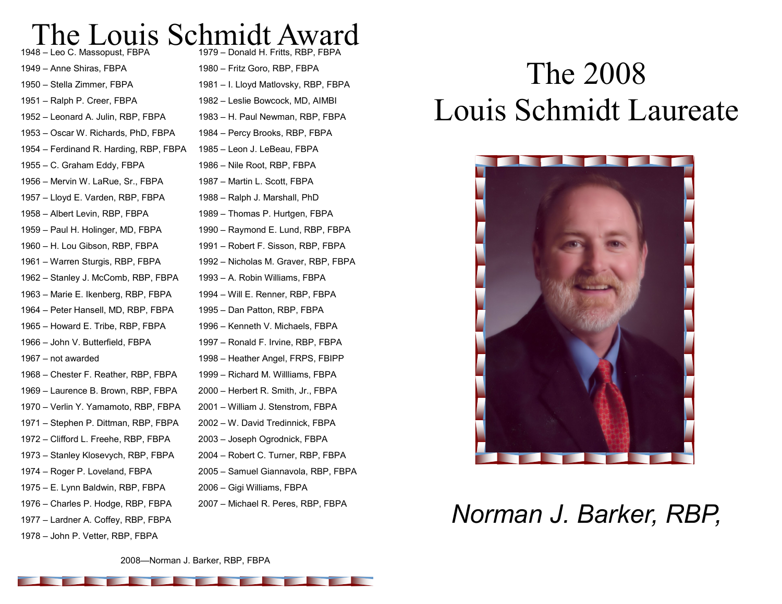#### The Louis Schmidt Award – Leo C. Massopust, FBPA

– Anne Shiras, FBPA – Stella Zimmer, FBPA – Ralph P. Creer, FBPA – Leonard A. Julin, RBP, FBPA – Oscar W. Richards, PhD, FBPA – Ferdinand R. Harding, RBP, FBPA – C. Graham Eddy, FBPA – Mervin W. LaRue, Sr., FBPA – Lloyd E. Varden, RBP, FBPA – Albert Levin, RBP, FBPA – Paul H. Holinger, MD, FBPA – H. Lou Gibson, RBP, FBPA – Warren Sturgis, RBP, FBPA – Stanley J. McComb, RBP, FBPA – Marie E. Ikenberg, RBP, FBPA – Peter Hansell, MD, RBP, FBPA – Howard E. Tribe, RBP, FBPA – John V. Butterfield, FBPA – not awarded – Chester F. Reather, RBP, FBPA – Laurence B. Brown, RBP, FBPA – Verlin Y. Yamamoto, RBP, FBPA – Stephen P. Dittman, RBP, FBPA – Clifford L. Freehe, RBP, FBPA – Stanley Klosevych, RBP, FBPA – Roger P. Loveland, FBPA – E. Lynn Baldwin, RBP, FBPA – Charles P. Hodge, RBP, FBPA – Lardner A. Coffey, RBP, FBPA

– John P. Vetter, RBP, FBPA

– Donald H. Fritts, RBP, FBPA – Fritz Goro, RBP, FBPA – I. Lloyd Matlovsky, RBP, FBPA – Leslie Bowcock, MD, AIMBI – H. Paul Newman, RBP, FBPA – Percy Brooks, RBP, FBPA – Leon J. LeBeau, FBPA – Nile Root, RBP, FBPA – Martin L. Scott, FBPA – Ralph J. Marshall, PhD – Thomas P. Hurtgen, FBPA – Raymond E. Lund, RBP, FBPA – Robert F. Sisson, RBP, FBPA – Nicholas M. Graver, RBP, FBPA – A. Robin Williams, FBPA – Will E. Renner, RBP, FBPA – Dan Patton, RBP, FBPA – Kenneth V. Michaels, FBPA – Ronald F. Irvine, RBP, FBPA – Heather Angel, FRPS, FBIPP – Richard M. Willliams, FBPA – Herbert R. Smith, Jr., FBPA – William J. Stenstrom, FBPA – W. David Tredinnick, FBPA – Joseph Ogrodnick, FBPA – Robert C. Turner, RBP, FBPA – Samuel Giannavola, RBP, FBPA – Gigi Williams, FBPA – Michael R. Peres, RBP, FBPA

# The 2008 Louis Schmidt Laureate



## *Norman J. Barker, RBP,*

—Norman J. Barker, RBP, FBPA